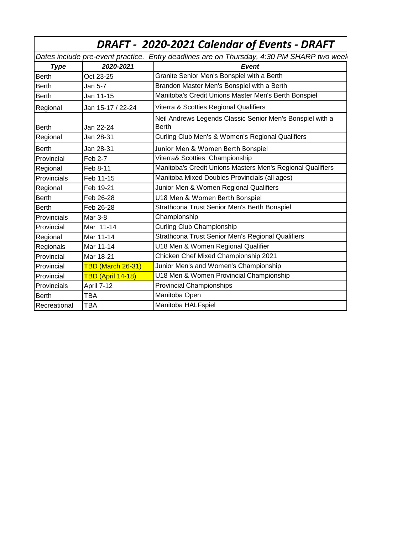| DRAFT - 2020-2021 Calendar of Events - DRAFT                                              |                          |                                                                    |
|-------------------------------------------------------------------------------------------|--------------------------|--------------------------------------------------------------------|
| Dates include pre-event practice. Entry deadlines are on Thursday, 4:30 PM SHARP two weel |                          |                                                                    |
| <b>Type</b>                                                                               | 2020-2021                | <b>Event</b>                                                       |
| <b>Berth</b>                                                                              | Oct 23-25                | Granite Senior Men's Bonspiel with a Berth                         |
| <b>Berth</b>                                                                              | Jan 5-7                  | Brandon Master Men's Bonspiel with a Berth                         |
| <b>Berth</b>                                                                              | Jan 11-15                | Manitoba's Credit Unions Master Men's Berth Bonspiel               |
| Regional                                                                                  | Jan 15-17 / 22-24        | Viterra & Scotties Regional Qualifiers                             |
| <b>Berth</b>                                                                              | Jan 22-24                | Neil Andrews Legends Classic Senior Men's Bonspiel with a<br>Berth |
| Regional                                                                                  | Jan 28-31                | Curling Club Men's & Women's Regional Qualifiers                   |
| <b>Berth</b>                                                                              | Jan 28-31                | Junior Men & Women Berth Bonspiel                                  |
| Provincial                                                                                | <b>Feb 2-7</b>           | Viterra& Scotties Championship                                     |
| Regional                                                                                  | Feb 8-11                 | Manitoba's Credit Unions Masters Men's Regional Qualifiers         |
| Provincials                                                                               | Feb 11-15                | Manitoba Mixed Doubles Provincials (all ages)                      |
| Regional                                                                                  | Feb 19-21                | Junior Men & Women Regional Qualifiers                             |
| <b>Berth</b>                                                                              | Feb 26-28                | U18 Men & Women Berth Bonspiel                                     |
| <b>Berth</b>                                                                              | Feb 26-28                | Strathcona Trust Senior Men's Berth Bonspiel                       |
| Provincials                                                                               | Mar 3-8                  | Championship                                                       |
| Provincial                                                                                | Mar 11-14                | <b>Curling Club Championship</b>                                   |
| Regional                                                                                  | Mar 11-14                | Strathcona Trust Senior Men's Regional Qualifiers                  |
| Regionals                                                                                 | Mar 11-14                | U18 Men & Women Regional Qualifier                                 |
| Provincial                                                                                | Mar 18-21                | Chicken Chef Mixed Championship 2021                               |
| Provincial                                                                                | <b>TBD (March 26-31)</b> | Junior Men's and Women's Championship                              |
| Provincial                                                                                | TBD (April 14-18)        | U18 Men & Women Provincial Championship                            |
| Provincials                                                                               | April 7-12               | <b>Provincial Championships</b>                                    |
| <b>Berth</b>                                                                              | TBA                      | Manitoba Open                                                      |
| Recreational                                                                              | TBA                      | Manitoba HALFspiel                                                 |